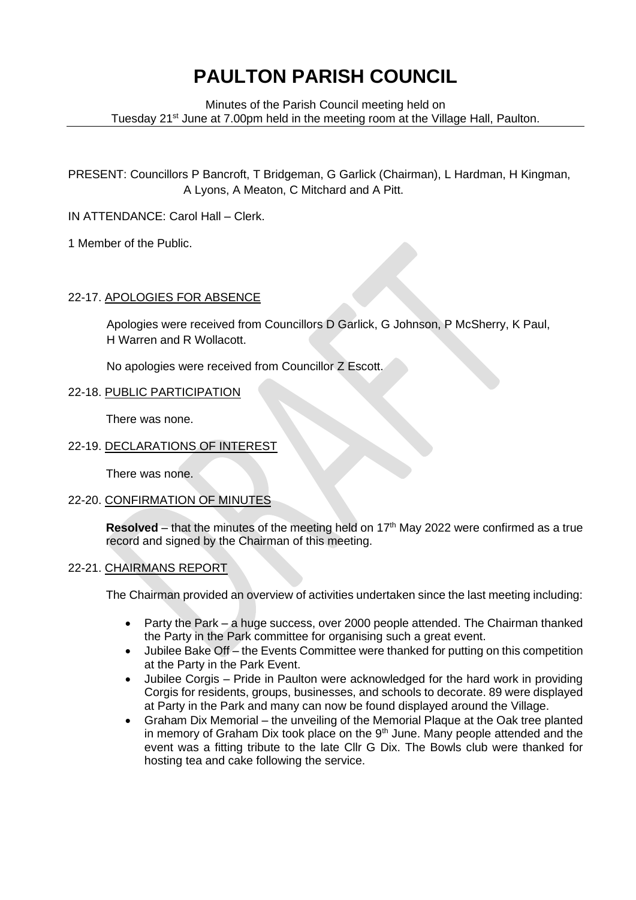# **PAULTON PARISH COUNCIL**

Minutes of the Parish Council meeting held on Tuesday 21<sup>st</sup> June at 7.00pm held in the meeting room at the Village Hall, Paulton.

PRESENT: Councillors P Bancroft, T Bridgeman, G Garlick (Chairman), L Hardman, H Kingman, A Lyons, A Meaton, C Mitchard and A Pitt.

IN ATTENDANCE: Carol Hall – Clerk.

1 Member of the Public.

# 22-17. APOLOGIES FOR ABSENCE

Apologies were received from Councillors D Garlick, G Johnson, P McSherry, K Paul, H Warren and R Wollacott.

No apologies were received from Councillor Z Escott.

# 22-18. PUBLIC PARTICIPATION

There was none.

# 22-19. DECLARATIONS OF INTEREST

There was none.

## 22-20. CONFIRMATION OF MINUTES

**Resolved** – that the minutes of the meeting held on  $17<sup>th</sup>$  May 2022 were confirmed as a true record and signed by the Chairman of this meeting.

## 22-21. CHAIRMANS REPORT

The Chairman provided an overview of activities undertaken since the last meeting including:

- Party the Park a huge success, over 2000 people attended. The Chairman thanked the Party in the Park committee for organising such a great event.
- Jubilee Bake Off the Events Committee were thanked for putting on this competition at the Party in the Park Event.
- Jubilee Corgis Pride in Paulton were acknowledged for the hard work in providing Corgis for residents, groups, businesses, and schools to decorate. 89 were displayed at Party in the Park and many can now be found displayed around the Village.
- Graham Dix Memorial the unveiling of the Memorial Plaque at the Oak tree planted in memory of Graham Dix took place on the  $9<sup>th</sup>$  June. Many people attended and the event was a fitting tribute to the late Cllr G Dix. The Bowls club were thanked for hosting tea and cake following the service.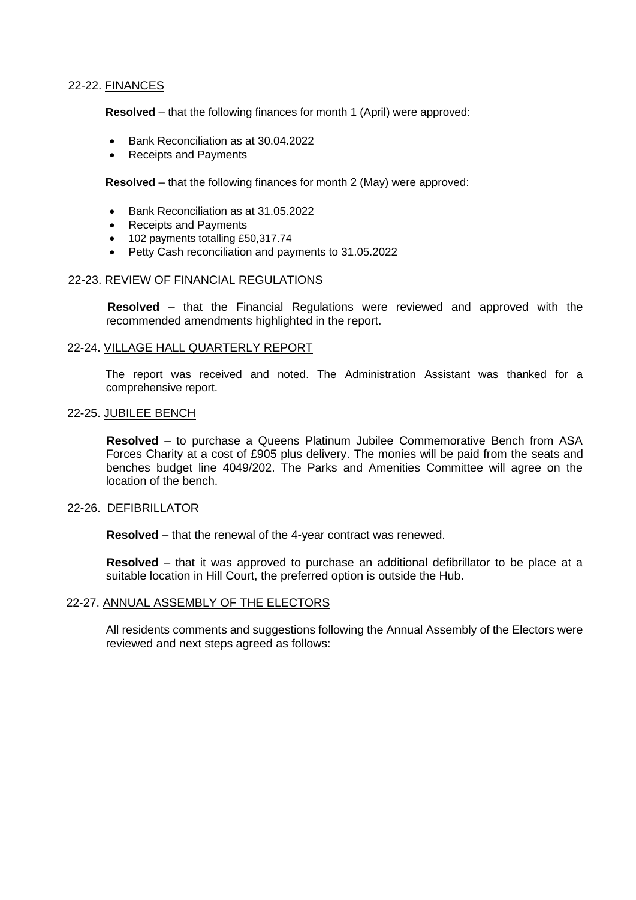## 22-22. FINANCES

**Resolved** – that the following finances for month 1 (April) were approved:

- Bank Reconciliation as at 30.04.2022
- Receipts and Payments

**Resolved** – that the following finances for month 2 (May) were approved:

- Bank Reconciliation as at 31.05.2022
- Receipts and Payments
- 102 payments totalling £50,317.74
- Petty Cash reconciliation and payments to 31.05.2022

#### 22-23. REVIEW OF FINANCIAL REGULATIONS

 **Resolved** – that the Financial Regulations were reviewed and approved with the recommended amendments highlighted in the report.

#### 22-24. VILLAGE HALL QUARTERLY REPORT

The report was received and noted. The Administration Assistant was thanked for a comprehensive report.

#### 22-25. JUBILEE BENCH

 **Resolved** – to purchase a Queens Platinum Jubilee Commemorative Bench from ASA Forces Charity at a cost of £905 plus delivery. The monies will be paid from the seats and benches budget line 4049/202. The Parks and Amenities Committee will agree on the location of the bench.

#### 22-26. DEFIBRILLATOR

**Resolved** – that the renewal of the 4-year contract was renewed.

 **Resolved** – that it was approved to purchase an additional defibrillator to be place at a suitable location in Hill Court, the preferred option is outside the Hub.

#### 22-27. ANNUAL ASSEMBLY OF THE ELECTORS

All residents comments and suggestions following the Annual Assembly of the Electors were reviewed and next steps agreed as follows: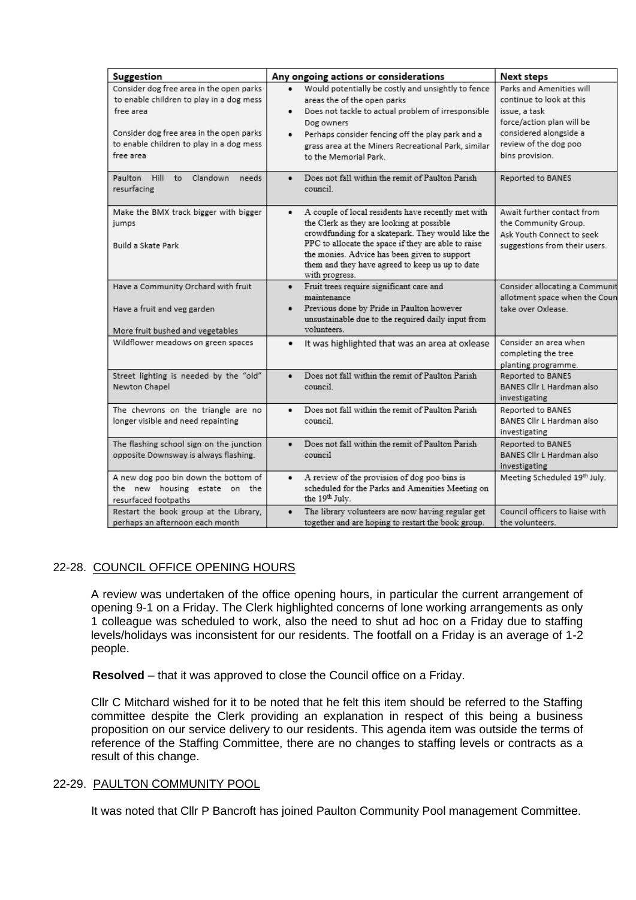| Suggestion                                                                                                                                                                                             | Any ongoing actions or considerations                                                                                                                                                                                                                                                                                                         | Next steps                                                                                                                                                               |
|--------------------------------------------------------------------------------------------------------------------------------------------------------------------------------------------------------|-----------------------------------------------------------------------------------------------------------------------------------------------------------------------------------------------------------------------------------------------------------------------------------------------------------------------------------------------|--------------------------------------------------------------------------------------------------------------------------------------------------------------------------|
| Consider dog free area in the open parks<br>to enable children to play in a dog mess<br>free area<br>Consider dog free area in the open parks<br>to enable children to play in a dog mess<br>free area | Would potentially be costly and unsightly to fence<br>areas the of the open parks<br>Does not tackle to actual problem of irresponsible<br>Dog owners<br>Perhaps consider fencing off the play park and a<br>grass area at the Miners Recreational Park, similar<br>to the Memorial Park.                                                     | Parks and Amenities will<br>continue to look at this<br>issue, a task<br>force/action plan will be<br>considered alongside a<br>review of the dog poo<br>bins provision. |
| Paulton Hill<br>Clandown<br>to<br>needs<br>resurfacing                                                                                                                                                 | Does not fall within the remit of Paulton Parish<br>$\bullet$<br>council.                                                                                                                                                                                                                                                                     | Reported to BANES                                                                                                                                                        |
| Make the BMX track bigger with bigger<br>jumps<br>Build a Skate Park                                                                                                                                   | A couple of local residents have recently met with<br>$\bullet$<br>the Clerk as they are looking at possible<br>crowdfunding for a skatepark. They would like the<br>PPC to allocate the space if they are able to raise<br>the monies. Advice has been given to support<br>them and they have agreed to keep us up to date<br>with progress. | Await further contact from<br>the Community Group.<br>Ask Youth Connect to seek<br>suggestions from their users.                                                         |
| Have a Community Orchard with fruit<br>Have a fruit and veg garden<br>More fruit bushed and vegetables                                                                                                 | Fruit trees require significant care and<br>$\bullet$<br>maintenance<br>Previous done by Pride in Paulton however<br>unsustainable due to the required daily input from<br>volunteers.                                                                                                                                                        | Consider allocating a Communit<br>allotment space when the Coun<br>take over Oxlease.                                                                                    |
| Wildflower meadows on green spaces                                                                                                                                                                     | It was highlighted that was an area at oxlease<br>٠                                                                                                                                                                                                                                                                                           | Consider an area when<br>completing the tree<br>planting programme.                                                                                                      |
| Street lighting is needed by the "old"<br>Newton Chapel                                                                                                                                                | Does not fall within the remit of Paulton Parish<br>$\bullet$<br>council.                                                                                                                                                                                                                                                                     | Reported to BANES<br>BANES Cllr L Hardman also<br>investigating                                                                                                          |
| The chevrons on the triangle are no<br>longer visible and need repainting                                                                                                                              | Does not fall within the remit of Paulton Parish<br>$\bullet$<br>council.                                                                                                                                                                                                                                                                     | Reported to BANES<br>BANES Cllr L Hardman also<br>investigating                                                                                                          |
| The flashing school sign on the junction<br>opposite Downsway is always flashing.                                                                                                                      | Does not fall within the remit of Paulton Parish<br>$\bullet$<br>council                                                                                                                                                                                                                                                                      | Reported to BANES<br>BANES Cllr L Hardman also<br>investigating                                                                                                          |
| A new dog poo bin down the bottom of<br>the new housing estate on the<br>resurfaced footpaths                                                                                                          | A review of the provision of dog poo bins is<br>$\bullet$<br>scheduled for the Parks and Amenities Meeting on<br>the 19 <sup>th</sup> July.                                                                                                                                                                                                   | Meeting Scheduled 19th July.                                                                                                                                             |
| Restart the book group at the Library,<br>perhaps an afternoon each month                                                                                                                              | The library volunteers are now having regular get<br>together and are hoping to restart the book group.                                                                                                                                                                                                                                       | Council officers to liaise with<br>the volunteers.                                                                                                                       |

# 22-28. COUNCIL OFFICE OPENING HOURS

A review was undertaken of the office opening hours, in particular the current arrangement of opening 9-1 on a Friday. The Clerk highlighted concerns of lone working arrangements as only 1 colleague was scheduled to work, also the need to shut ad hoc on a Friday due to staffing levels/holidays was inconsistent for our residents. The footfall on a Friday is an average of 1-2 people.

**Resolved** – that it was approved to close the Council office on a Friday.

Cllr C Mitchard wished for it to be noted that he felt this item should be referred to the Staffing committee despite the Clerk providing an explanation in respect of this being a business proposition on our service delivery to our residents. This agenda item was outside the terms of reference of the Staffing Committee, there are no changes to staffing levels or contracts as a result of this change.

#### 22-29. PAULTON COMMUNITY POOL

It was noted that Cllr P Bancroft has joined Paulton Community Pool management Committee.